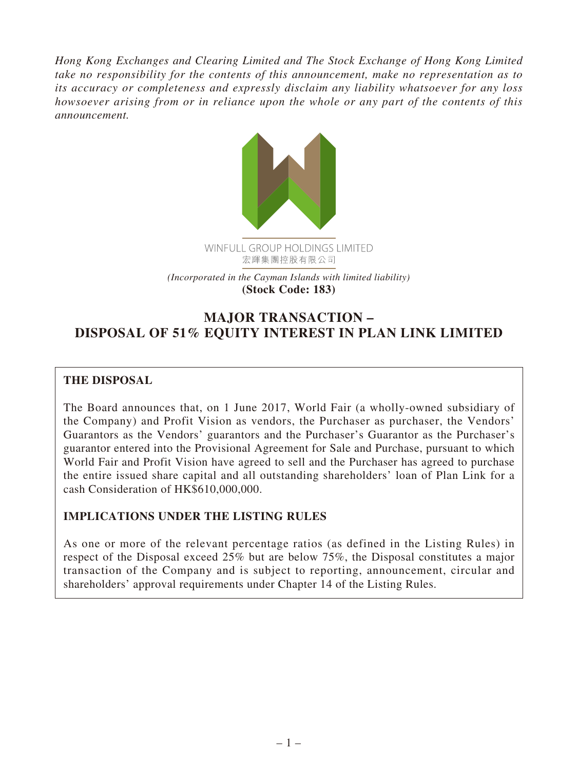*Hong Kong Exchanges and Clearing Limited and The Stock Exchange of Hong Kong Limited take no responsibility for the contents of this announcement, make no representation as to its accuracy or completeness and expressly disclaim any liability whatsoever for any loss howsoever arising from or in reliance upon the whole or any part of the contents of this announcement.*



**MAJOR TRANSACTION – DISPOSAL OF 51% EQUITY INTEREST IN PLAN LINK LIMITED**

## **THE DISPOSAL**

The Board announces that, on 1 June 2017, World Fair (a wholly-owned subsidiary of the Company) and Profit Vision as vendors, the Purchaser as purchaser, the Vendors' Guarantors as the Vendors' guarantors and the Purchaser's Guarantor as the Purchaser's guarantor entered into the Provisional Agreement for Sale and Purchase, pursuant to which World Fair and Profit Vision have agreed to sell and the Purchaser has agreed to purchase the entire issued share capital and all outstanding shareholders' loan of Plan Link for a cash Consideration of HK\$610,000,000.

## **IMPLICATIONS UNDER THE LISTING RULES**

As one or more of the relevant percentage ratios (as defined in the Listing Rules) in respect of the Disposal exceed 25% but are below 75%, the Disposal constitutes a major transaction of the Company and is subject to reporting, announcement, circular and shareholders' approval requirements under Chapter 14 of the Listing Rules.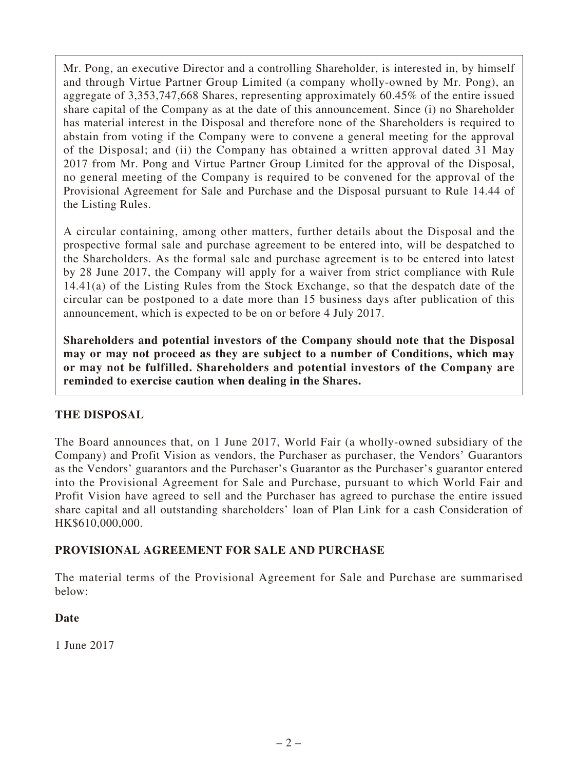Mr. Pong, an executive Director and a controlling Shareholder, is interested in, by himself and through Virtue Partner Group Limited (a company wholly-owned by Mr. Pong), an aggregate of 3,353,747,668 Shares, representing approximately 60.45% of the entire issued share capital of the Company as at the date of this announcement. Since (i) no Shareholder has material interest in the Disposal and therefore none of the Shareholders is required to abstain from voting if the Company were to convene a general meeting for the approval of the Disposal; and (ii) the Company has obtained a written approval dated 31 May 2017 from Mr. Pong and Virtue Partner Group Limited for the approval of the Disposal, no general meeting of the Company is required to be convened for the approval of the Provisional Agreement for Sale and Purchase and the Disposal pursuant to Rule 14.44 of the Listing Rules.

A circular containing, among other matters, further details about the Disposal and the prospective formal sale and purchase agreement to be entered into, will be despatched to the Shareholders. As the formal sale and purchase agreement is to be entered into latest by 28 June 2017, the Company will apply for a waiver from strict compliance with Rule 14.41(a) of the Listing Rules from the Stock Exchange, so that the despatch date of the circular can be postponed to a date more than 15 business days after publication of this announcement, which is expected to be on or before 4 July 2017.

**Shareholders and potential investors of the Company should note that the Disposal may or may not proceed as they are subject to a number of Conditions, which may or may not be fulfilled. Shareholders and potential investors of the Company are reminded to exercise caution when dealing in the Shares.**

## **THE DISPOSAL**

The Board announces that, on 1 June 2017, World Fair (a wholly-owned subsidiary of the Company) and Profit Vision as vendors, the Purchaser as purchaser, the Vendors' Guarantors as the Vendors' guarantors and the Purchaser's Guarantor as the Purchaser's guarantor entered into the Provisional Agreement for Sale and Purchase, pursuant to which World Fair and Profit Vision have agreed to sell and the Purchaser has agreed to purchase the entire issued share capital and all outstanding shareholders' loan of Plan Link for a cash Consideration of HK\$610,000,000.

### **PROVISIONAL AGREEMENT FOR SALE AND PURCHASE**

The material terms of the Provisional Agreement for Sale and Purchase are summarised below:

### **Date**

1 June 2017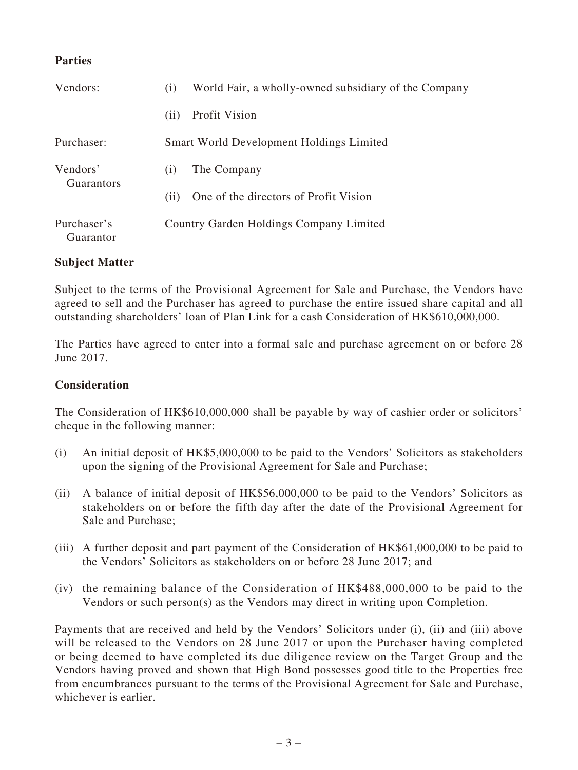### **Parties**

| Vendors:                      | (1)                | World Fair, a wholly-owned subsidiary of the Company |
|-------------------------------|--------------------|------------------------------------------------------|
|                               | (11)               | Profit Vision                                        |
| Purchaser:                    |                    | <b>Smart World Development Holdings Limited</b>      |
| Vendors'<br><b>Guarantors</b> | $\left( 1 \right)$ | The Company                                          |
|                               | (11)               | One of the directors of Profit Vision                |
| Purchaser's<br>Guarantor      |                    | Country Garden Holdings Company Limited              |

### **Subject Matter**

Subject to the terms of the Provisional Agreement for Sale and Purchase, the Vendors have agreed to sell and the Purchaser has agreed to purchase the entire issued share capital and all outstanding shareholders' loan of Plan Link for a cash Consideration of HK\$610,000,000.

The Parties have agreed to enter into a formal sale and purchase agreement on or before 28 June 2017.

#### **Consideration**

The Consideration of HK\$610,000,000 shall be payable by way of cashier order or solicitors' cheque in the following manner:

- (i) An initial deposit of HK\$5,000,000 to be paid to the Vendors' Solicitors as stakeholders upon the signing of the Provisional Agreement for Sale and Purchase;
- (ii) A balance of initial deposit of HK\$56,000,000 to be paid to the Vendors' Solicitors as stakeholders on or before the fifth day after the date of the Provisional Agreement for Sale and Purchase;
- (iii) A further deposit and part payment of the Consideration of HK\$61,000,000 to be paid to the Vendors' Solicitors as stakeholders on or before 28 June 2017; and
- (iv) the remaining balance of the Consideration of HK\$488,000,000 to be paid to the Vendors or such person(s) as the Vendors may direct in writing upon Completion.

Payments that are received and held by the Vendors' Solicitors under (i), (ii) and (iii) above will be released to the Vendors on 28 June 2017 or upon the Purchaser having completed or being deemed to have completed its due diligence review on the Target Group and the Vendors having proved and shown that High Bond possesses good title to the Properties free from encumbrances pursuant to the terms of the Provisional Agreement for Sale and Purchase, whichever is earlier.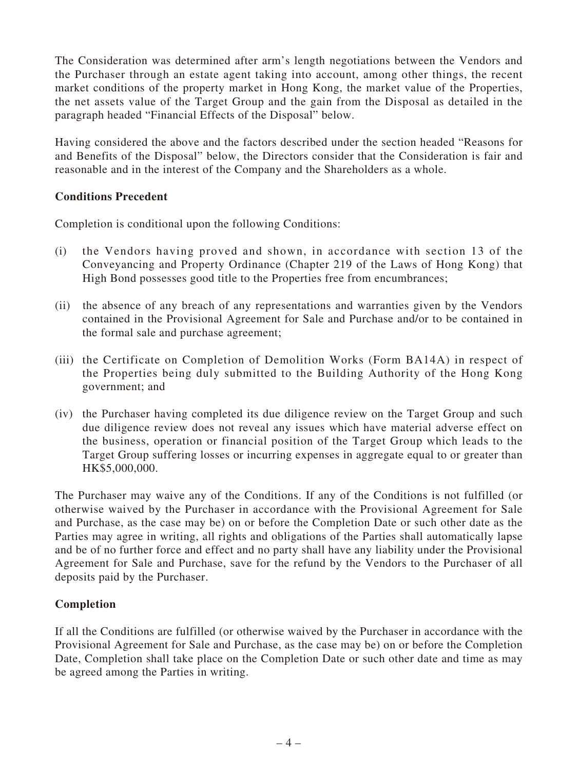The Consideration was determined after arm's length negotiations between the Vendors and the Purchaser through an estate agent taking into account, among other things, the recent market conditions of the property market in Hong Kong, the market value of the Properties, the net assets value of the Target Group and the gain from the Disposal as detailed in the paragraph headed "Financial Effects of the Disposal" below.

Having considered the above and the factors described under the section headed "Reasons for and Benefits of the Disposal" below, the Directors consider that the Consideration is fair and reasonable and in the interest of the Company and the Shareholders as a whole.

### **Conditions Precedent**

Completion is conditional upon the following Conditions:

- (i) the Vendors having proved and shown, in accordance with section 13 of the Conveyancing and Property Ordinance (Chapter 219 of the Laws of Hong Kong) that High Bond possesses good title to the Properties free from encumbrances;
- (ii) the absence of any breach of any representations and warranties given by the Vendors contained in the Provisional Agreement for Sale and Purchase and/or to be contained in the formal sale and purchase agreement;
- (iii) the Certificate on Completion of Demolition Works (Form BA14A) in respect of the Properties being duly submitted to the Building Authority of the Hong Kong government; and
- (iv) the Purchaser having completed its due diligence review on the Target Group and such due diligence review does not reveal any issues which have material adverse effect on the business, operation or financial position of the Target Group which leads to the Target Group suffering losses or incurring expenses in aggregate equal to or greater than HK\$5,000,000.

The Purchaser may waive any of the Conditions. If any of the Conditions is not fulfilled (or otherwise waived by the Purchaser in accordance with the Provisional Agreement for Sale and Purchase, as the case may be) on or before the Completion Date or such other date as the Parties may agree in writing, all rights and obligations of the Parties shall automatically lapse and be of no further force and effect and no party shall have any liability under the Provisional Agreement for Sale and Purchase, save for the refund by the Vendors to the Purchaser of all deposits paid by the Purchaser.

### **Completion**

If all the Conditions are fulfilled (or otherwise waived by the Purchaser in accordance with the Provisional Agreement for Sale and Purchase, as the case may be) on or before the Completion Date, Completion shall take place on the Completion Date or such other date and time as may be agreed among the Parties in writing.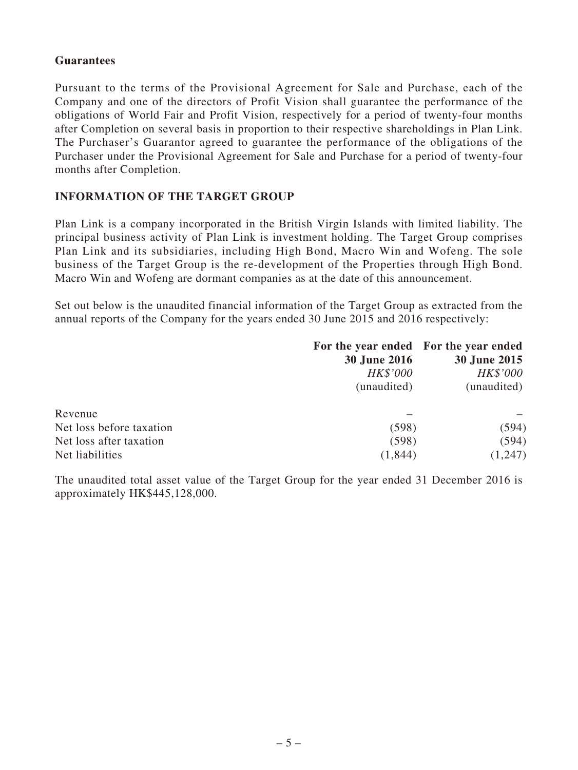#### **Guarantees**

Pursuant to the terms of the Provisional Agreement for Sale and Purchase, each of the Company and one of the directors of Profit Vision shall guarantee the performance of the obligations of World Fair and Profit Vision, respectively for a period of twenty-four months after Completion on several basis in proportion to their respective shareholdings in Plan Link. The Purchaser's Guarantor agreed to guarantee the performance of the obligations of the Purchaser under the Provisional Agreement for Sale and Purchase for a period of twenty-four months after Completion.

#### **INFORMATION OF THE TARGET GROUP**

Plan Link is a company incorporated in the British Virgin Islands with limited liability. The principal business activity of Plan Link is investment holding. The Target Group comprises Plan Link and its subsidiaries, including High Bond, Macro Win and Wofeng. The sole business of the Target Group is the re-development of the Properties through High Bond. Macro Win and Wofeng are dormant companies as at the date of this announcement.

Set out below is the unaudited financial information of the Target Group as extracted from the annual reports of the Company for the years ended 30 June 2015 and 2016 respectively:

|                          | For the year ended For the year ended |              |
|--------------------------|---------------------------------------|--------------|
|                          | <b>30 June 2016</b>                   | 30 June 2015 |
|                          | HK\$'000                              | HK\$'000     |
|                          | (unaudited)                           | (unaudited)  |
| Revenue                  |                                       |              |
| Net loss before taxation | (598)                                 | (594)        |
| Net loss after taxation  | (598)                                 | (594)        |
| Net liabilities          | (1, 844)                              | (1,247)      |

The unaudited total asset value of the Target Group for the year ended 31 December 2016 is approximately HK\$445,128,000.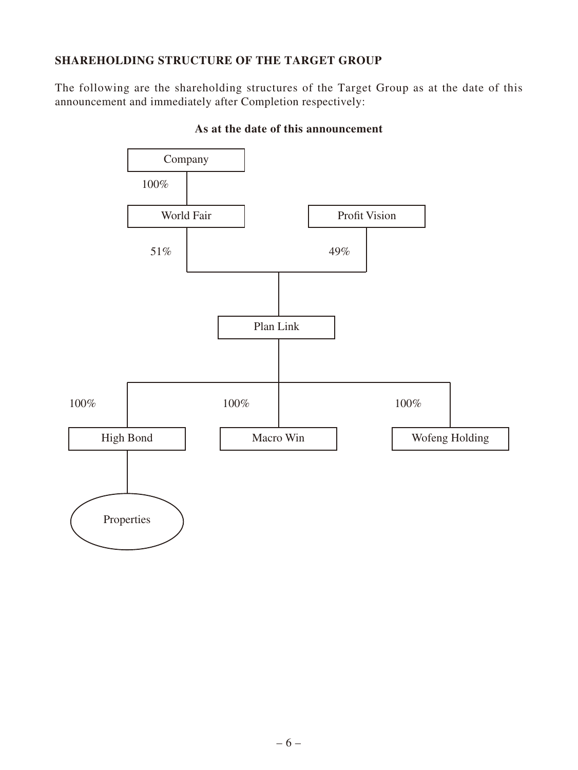### **SHAREHOLDING STRUCTURE OF THE TARGET GROUP**

The following are the shareholding structures of the Target Group as at the date of this announcement and immediately after Completion respectively:



### **As at the date of this announcement**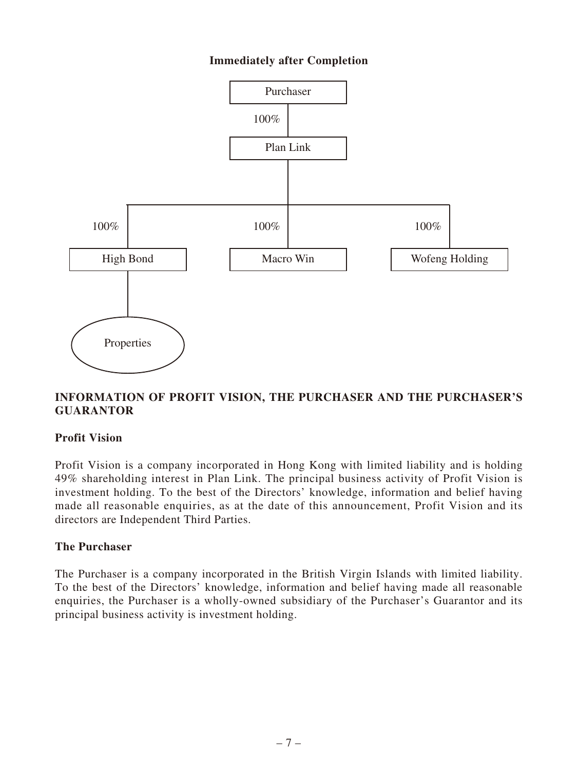### **Immediately after Completion**



### **INFORMATION OF PROFIT VISION, THE PURCHASER AND THE PURCHASER'S GUARANTOR**

### **Profit Vision**

Profit Vision is a company incorporated in Hong Kong with limited liability and is holding 49% shareholding interest in Plan Link. The principal business activity of Profit Vision is investment holding. To the best of the Directors' knowledge, information and belief having made all reasonable enquiries, as at the date of this announcement, Profit Vision and its directors are Independent Third Parties.

#### **The Purchaser**

The Purchaser is a company incorporated in the British Virgin Islands with limited liability. To the best of the Directors' knowledge, information and belief having made all reasonable enquiries, the Purchaser is a wholly-owned subsidiary of the Purchaser's Guarantor and its principal business activity is investment holding.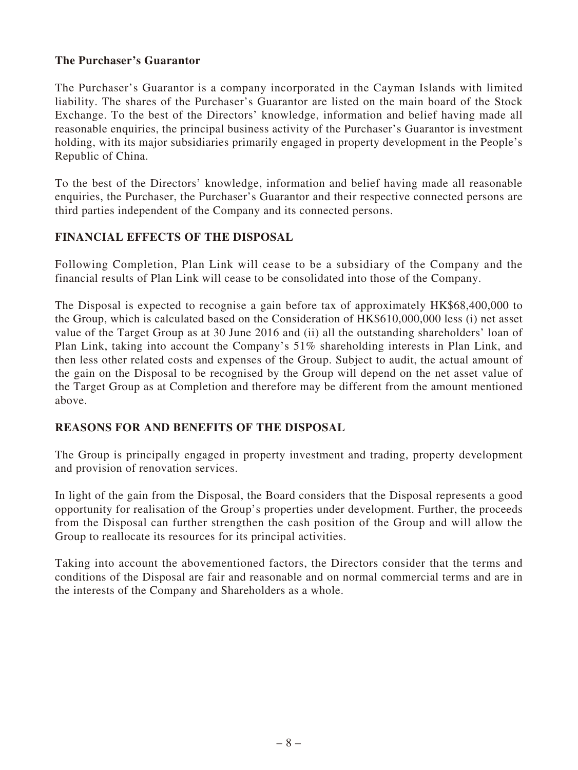### **The Purchaser's Guarantor**

The Purchaser's Guarantor is a company incorporated in the Cayman Islands with limited liability. The shares of the Purchaser's Guarantor are listed on the main board of the Stock Exchange. To the best of the Directors' knowledge, information and belief having made all reasonable enquiries, the principal business activity of the Purchaser's Guarantor is investment holding, with its major subsidiaries primarily engaged in property development in the People's Republic of China.

To the best of the Directors' knowledge, information and belief having made all reasonable enquiries, the Purchaser, the Purchaser's Guarantor and their respective connected persons are third parties independent of the Company and its connected persons.

### **FINANCIAL EFFECTS OF THE DISPOSAL**

Following Completion, Plan Link will cease to be a subsidiary of the Company and the financial results of Plan Link will cease to be consolidated into those of the Company.

The Disposal is expected to recognise a gain before tax of approximately HK\$68,400,000 to the Group, which is calculated based on the Consideration of HK\$610,000,000 less (i) net asset value of the Target Group as at 30 June 2016 and (ii) all the outstanding shareholders' loan of Plan Link, taking into account the Company's 51% shareholding interests in Plan Link, and then less other related costs and expenses of the Group. Subject to audit, the actual amount of the gain on the Disposal to be recognised by the Group will depend on the net asset value of the Target Group as at Completion and therefore may be different from the amount mentioned above.

### **REASONS FOR AND BENEFITS OF THE DISPOSAL**

The Group is principally engaged in property investment and trading, property development and provision of renovation services.

In light of the gain from the Disposal, the Board considers that the Disposal represents a good opportunity for realisation of the Group's properties under development. Further, the proceeds from the Disposal can further strengthen the cash position of the Group and will allow the Group to reallocate its resources for its principal activities.

Taking into account the abovementioned factors, the Directors consider that the terms and conditions of the Disposal are fair and reasonable and on normal commercial terms and are in the interests of the Company and Shareholders as a whole.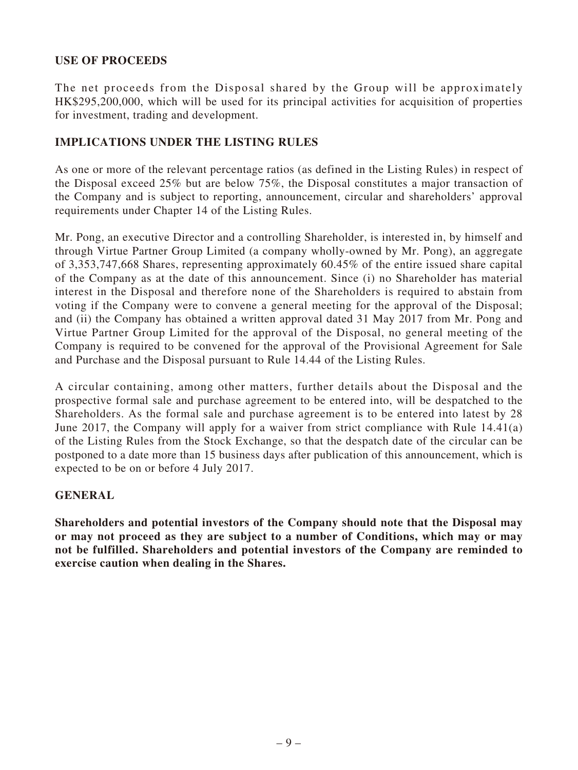### **USE OF PROCEEDS**

The net proceeds from the Disposal shared by the Group will be approximately HK\$295,200,000, which will be used for its principal activities for acquisition of properties for investment, trading and development.

### **IMPLICATIONS UNDER THE LISTING RULES**

As one or more of the relevant percentage ratios (as defined in the Listing Rules) in respect of the Disposal exceed 25% but are below 75%, the Disposal constitutes a major transaction of the Company and is subject to reporting, announcement, circular and shareholders' approval requirements under Chapter 14 of the Listing Rules.

Mr. Pong, an executive Director and a controlling Shareholder, is interested in, by himself and through Virtue Partner Group Limited (a company wholly-owned by Mr. Pong), an aggregate of 3,353,747,668 Shares, representing approximately 60.45% of the entire issued share capital of the Company as at the date of this announcement. Since (i) no Shareholder has material interest in the Disposal and therefore none of the Shareholders is required to abstain from voting if the Company were to convene a general meeting for the approval of the Disposal; and (ii) the Company has obtained a written approval dated 31 May 2017 from Mr. Pong and Virtue Partner Group Limited for the approval of the Disposal, no general meeting of the Company is required to be convened for the approval of the Provisional Agreement for Sale and Purchase and the Disposal pursuant to Rule 14.44 of the Listing Rules.

A circular containing, among other matters, further details about the Disposal and the prospective formal sale and purchase agreement to be entered into, will be despatched to the Shareholders. As the formal sale and purchase agreement is to be entered into latest by 28 June 2017, the Company will apply for a waiver from strict compliance with Rule 14.41(a) of the Listing Rules from the Stock Exchange, so that the despatch date of the circular can be postponed to a date more than 15 business days after publication of this announcement, which is expected to be on or before 4 July 2017.

### **GENERAL**

**Shareholders and potential investors of the Company should note that the Disposal may or may not proceed as they are subject to a number of Conditions, which may or may not be fulfilled. Shareholders and potential investors of the Company are reminded to exercise caution when dealing in the Shares.**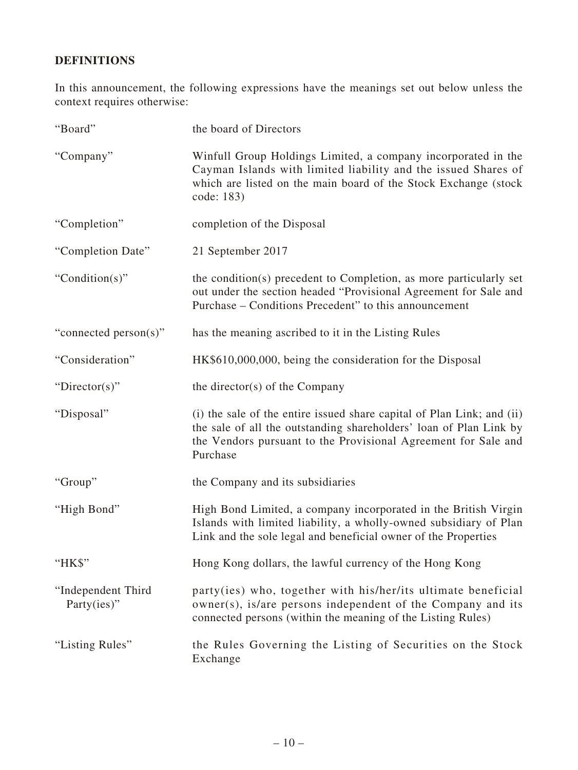# **DEFINITIONS**

In this announcement, the following expressions have the meanings set out below unless the context requires otherwise:

| "Board"                           | the board of Directors                                                                                                                                                                                                     |
|-----------------------------------|----------------------------------------------------------------------------------------------------------------------------------------------------------------------------------------------------------------------------|
| "Company"                         | Winfull Group Holdings Limited, a company incorporated in the<br>Cayman Islands with limited liability and the issued Shares of<br>which are listed on the main board of the Stock Exchange (stock<br>code: 183)           |
| "Completion"                      | completion of the Disposal                                                                                                                                                                                                 |
| "Completion Date"                 | 21 September 2017                                                                                                                                                                                                          |
| "Condition(s)"                    | the condition(s) precedent to Completion, as more particularly set<br>out under the section headed "Provisional Agreement for Sale and<br>Purchase – Conditions Precedent" to this announcement                            |
| "connected person(s)"             | has the meaning ascribed to it in the Listing Rules                                                                                                                                                                        |
| "Consideration"                   | HK\$610,000,000, being the consideration for the Disposal                                                                                                                                                                  |
| "Director(s)"                     | the director(s) of the Company                                                                                                                                                                                             |
| "Disposal"                        | (i) the sale of the entire issued share capital of Plan Link; and (ii)<br>the sale of all the outstanding shareholders' loan of Plan Link by<br>the Vendors pursuant to the Provisional Agreement for Sale and<br>Purchase |
| "Group"                           | the Company and its subsidiaries                                                                                                                                                                                           |
| "High Bond"                       | High Bond Limited, a company incorporated in the British Virgin<br>Islands with limited liability, a wholly-owned subsidiary of Plan<br>Link and the sole legal and beneficial owner of the Properties                     |
| "HK\$"                            | Hong Kong dollars, the lawful currency of the Hong Kong                                                                                                                                                                    |
| "Independent Third<br>Party(ies)" | party(ies) who, together with his/her/its ultimate beneficial<br>owner(s), is/are persons independent of the Company and its<br>connected persons (within the meaning of the Listing Rules)                                |
| "Listing Rules"                   | the Rules Governing the Listing of Securities on the Stock<br>Exchange                                                                                                                                                     |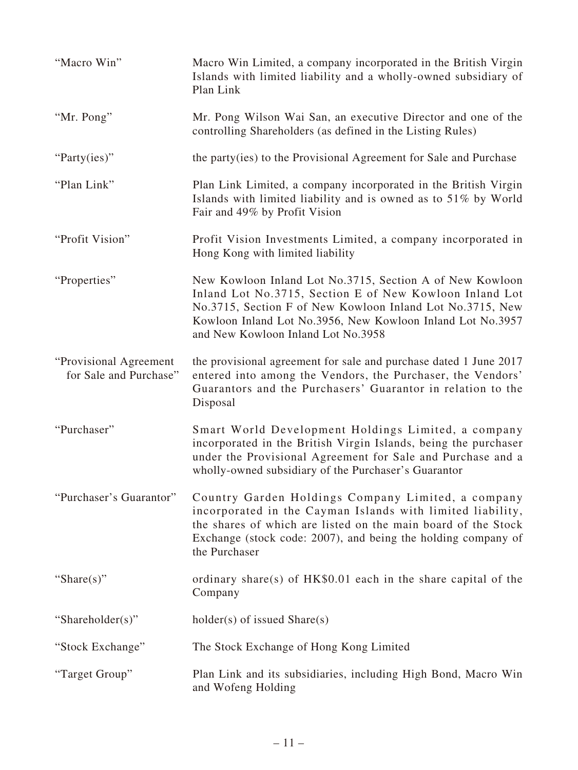| "Macro Win"                                       | Macro Win Limited, a company incorporated in the British Virgin<br>Islands with limited liability and a wholly-owned subsidiary of<br>Plan Link                                                                                                                                      |
|---------------------------------------------------|--------------------------------------------------------------------------------------------------------------------------------------------------------------------------------------------------------------------------------------------------------------------------------------|
| "Mr. Pong"                                        | Mr. Pong Wilson Wai San, an executive Director and one of the<br>controlling Shareholders (as defined in the Listing Rules)                                                                                                                                                          |
| "Party(ies)"                                      | the party (ies) to the Provisional Agreement for Sale and Purchase                                                                                                                                                                                                                   |
| "Plan Link"                                       | Plan Link Limited, a company incorporated in the British Virgin<br>Islands with limited liability and is owned as to 51% by World<br>Fair and 49% by Profit Vision                                                                                                                   |
| "Profit Vision"                                   | Profit Vision Investments Limited, a company incorporated in<br>Hong Kong with limited liability                                                                                                                                                                                     |
| "Properties"                                      | New Kowloon Inland Lot No.3715, Section A of New Kowloon<br>Inland Lot No.3715, Section E of New Kowloon Inland Lot<br>No.3715, Section F of New Kowloon Inland Lot No.3715, New<br>Kowloon Inland Lot No.3956, New Kowloon Inland Lot No.3957<br>and New Kowloon Inland Lot No.3958 |
| "Provisional Agreement"<br>for Sale and Purchase" | the provisional agreement for sale and purchase dated 1 June 2017<br>entered into among the Vendors, the Purchaser, the Vendors'<br>Guarantors and the Purchasers' Guarantor in relation to the<br>Disposal                                                                          |
| "Purchaser"                                       | Smart World Development Holdings Limited, a company<br>incorporated in the British Virgin Islands, being the purchaser<br>under the Provisional Agreement for Sale and Purchase and a<br>wholly-owned subsidiary of the Purchaser's Guarantor                                        |
| "Purchaser's Guarantor"                           | Country Garden Holdings Company Limited, a company<br>incorporated in the Cayman Islands with limited liability,<br>the shares of which are listed on the main board of the Stock<br>Exchange (stock code: 2007), and being the holding company of<br>the Purchaser                  |
| "Share $(s)$ "                                    | ordinary share(s) of HK\$0.01 each in the share capital of the<br>Company                                                                                                                                                                                                            |
| "Shareholder(s)"                                  | $holder(s)$ of issued $Share(s)$                                                                                                                                                                                                                                                     |
| "Stock Exchange"                                  | The Stock Exchange of Hong Kong Limited                                                                                                                                                                                                                                              |
| "Target Group"                                    | Plan Link and its subsidiaries, including High Bond, Macro Win<br>and Wofeng Holding                                                                                                                                                                                                 |